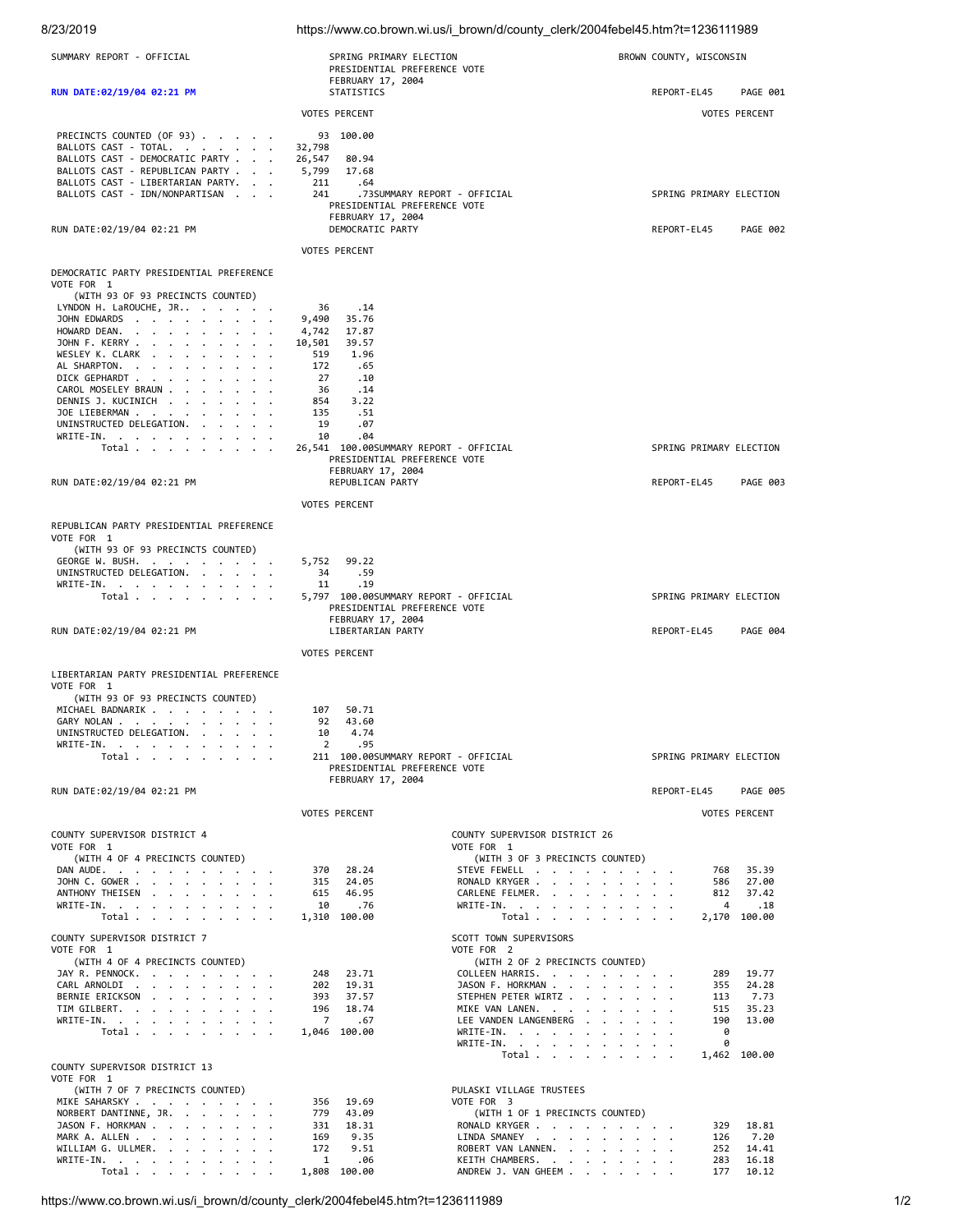| 8/23/2019                                                                  |                                                                              | https://www.co.brown.wi.us/i_brown/d/county_clerk/2004febel45.htm?t=1236111989 |                         |                      |
|----------------------------------------------------------------------------|------------------------------------------------------------------------------|--------------------------------------------------------------------------------|-------------------------|----------------------|
| SUMMARY REPORT - OFFICIAL                                                  | SPRING PRIMARY ELECTION<br>PRESIDENTIAL PREFERENCE VOTE<br>FEBRUARY 17, 2004 |                                                                                | BROWN COUNTY, WISCONSIN |                      |
| RUN DATE: 02/19/04 02:21 PM                                                | STATISTICS                                                                   |                                                                                | REPORT-EL45             | PAGE 001             |
|                                                                            | <b>VOTES PERCENT</b>                                                         |                                                                                |                         | <b>VOTES PERCENT</b> |
|                                                                            |                                                                              |                                                                                |                         |                      |
| PRECINCTS COUNTED (OF 93)<br>BALLOTS CAST - TOTAL.                         | 93 100.00<br>32,798                                                          |                                                                                |                         |                      |
| BALLOTS CAST - DEMOCRATIC PARTY                                            | 26,547<br>80.94                                                              |                                                                                |                         |                      |
| BALLOTS CAST - REPUBLICAN PARTY 5,799<br>BALLOTS CAST - LIBERTARIAN PARTY. | 17.68<br>211<br>.64                                                          |                                                                                |                         |                      |
| BALLOTS CAST - IDN/NONPARTISAN                                             | 241                                                                          | .73SUMMARY REPORT - OFFICIAL                                                   | SPRING PRIMARY ELECTION |                      |
|                                                                            | PRESIDENTIAL PREFERENCE VOTE<br>FEBRUARY 17, 2004                            |                                                                                |                         |                      |
| RUN DATE:02/19/04 02:21 PM                                                 | DEMOCRATIC PARTY                                                             |                                                                                | REPORT-EL45             | <b>PAGE 002</b>      |
|                                                                            | <b>VOTES PERCENT</b>                                                         |                                                                                |                         |                      |
| DEMOCRATIC PARTY PRESIDENTIAL PREFERENCE                                   |                                                                              |                                                                                |                         |                      |
| VOTE FOR 1                                                                 |                                                                              |                                                                                |                         |                      |
| (WITH 93 OF 93 PRECINCTS COUNTED)                                          |                                                                              |                                                                                |                         |                      |
| LYNDON H. LaROUCHE, JR<br>JOHN EDWARDS                                     | 36<br>.14<br>9,490<br>35.76                                                  |                                                                                |                         |                      |
| HOWARD DEAN.                                                               | 4,742<br>17.87                                                               |                                                                                |                         |                      |
| JOHN F. KERRY<br>WESLEY K. CLARK                                           | 10,501<br>39.57<br>519<br>1.96                                               |                                                                                |                         |                      |
| AL SHARPTON.                                                               | 172<br>.65                                                                   |                                                                                |                         |                      |
| DICK GEPHARDT<br>CAROL MOSELEY BRAUN                                       | 27<br>.10<br>36<br>.14                                                       |                                                                                |                         |                      |
| DENNIS J. KUCINICH                                                         | 854<br>3.22                                                                  |                                                                                |                         |                      |
| JOE LIEBERMAN<br>UNINSTRUCTED DELEGATION.                                  | 135<br>.51<br>19<br>.07                                                      |                                                                                |                         |                      |
| WRITE-IN.                                                                  | 10<br>.04                                                                    |                                                                                |                         |                      |
| Total $\cdots$ $\cdots$ $\cdots$                                           | 26,541 100.00SUMMARY REPORT - OFFICIAL<br>PRESIDENTIAL PREFERENCE VOTE       |                                                                                | SPRING PRIMARY ELECTION |                      |
|                                                                            | FEBRUARY 17, 2004                                                            |                                                                                |                         |                      |
| RUN DATE:02/19/04 02:21 PM                                                 | REPUBLICAN PARTY                                                             |                                                                                | REPORT-EL45             | PAGE 003             |
|                                                                            | <b>VOTES PERCENT</b>                                                         |                                                                                |                         |                      |
| REPUBLICAN PARTY PRESIDENTIAL PREFERENCE                                   |                                                                              |                                                                                |                         |                      |
| VOTE FOR 1                                                                 |                                                                              |                                                                                |                         |                      |
| (WITH 93 OF 93 PRECINCTS COUNTED)<br>GEORGE W. BUSH.                       | 5,752<br>99.22                                                               |                                                                                |                         |                      |
| UNINSTRUCTED DELEGATION.                                                   | 34<br>.59                                                                    |                                                                                |                         |                      |
| WRITE-IN.<br>Total                                                         | .19<br>11<br>5,797 100.00SUMMARY REPORT - OFFICIAL                           |                                                                                | SPRING PRIMARY ELECTION |                      |
|                                                                            | PRESIDENTIAL PREFERENCE VOTE                                                 |                                                                                |                         |                      |
|                                                                            | FEBRUARY 17, 2004<br><b>LIBERTARIAN PARTY</b>                                |                                                                                | REPORT-EL45             | <b>PAGE 004</b>      |
| RUN DATE:02/19/04 02:21 PM                                                 |                                                                              |                                                                                |                         |                      |
|                                                                            | <b>VOTES PERCENT</b>                                                         |                                                                                |                         |                      |
| LIBERTARIAN PARTY PRESIDENTIAL PREFERENCE                                  |                                                                              |                                                                                |                         |                      |
| VOTE FOR 1<br>(WITH 93 OF 93 PRECINCTS COUNTED)                            |                                                                              |                                                                                |                         |                      |
| MICHAEL BADNARIK                                                           | 107<br>50.71                                                                 |                                                                                |                         |                      |
| GARY NOLAN<br>UNINSTRUCTED DELEGATION.                                     | 92 43.60<br>4.74<br>10                                                       |                                                                                |                         |                      |
| WRITE-IN.                                                                  | 2<br>.95                                                                     |                                                                                |                         |                      |
| Total                                                                      | 211 100.00SUMMARY REPORT - OFFICIAL<br>PRESIDENTIAL PREFERENCE VOTE          |                                                                                | SPRING PRIMARY ELECTION |                      |
|                                                                            | FEBRUARY 17, 2004                                                            |                                                                                |                         |                      |
| RUN DATE:02/19/04 02:21 PM                                                 |                                                                              |                                                                                | REPORT-EL45             | <b>PAGE 005</b>      |
|                                                                            | <b>VOTES PERCENT</b>                                                         |                                                                                |                         | <b>VOTES PERCENT</b> |
| COUNTY SUPERVISOR DISTRICT 4                                               |                                                                              | COUNTY SUPERVISOR DISTRICT 26                                                  |                         |                      |
| VOTE FOR 1                                                                 |                                                                              | VOTE FOR 1                                                                     |                         |                      |
| (WITH 4 OF 4 PRECINCTS COUNTED)<br>DAN AUDE.                               | 28.24<br>370                                                                 | (WITH 3 OF 3 PRECINCTS COUNTED)<br>STEVE FEWELL                                | 768                     | 35.39                |
| JOHN C. GOWER                                                              | 315<br>24.05                                                                 | RONALD KRYGER                                                                  |                         | 586 27.00            |
| ANTHONY THEISEN<br>WRITE-IN.                                               | 615<br>46.95<br>10<br>.76                                                    | CARLENE FELMER.<br>WRITE-IN.                                                   | 812<br>$\overline{4}$   | 37.42<br>$\ldots$    |
| Total                                                                      | 1,310 100.00                                                                 | Total                                                                          |                         | 2,170 100.00         |
| COUNTY SUPERVISOR DISTRICT 7                                               |                                                                              | SCOTT TOWN SUPERVISORS                                                         |                         |                      |
| VOTE FOR 1                                                                 |                                                                              | VOTE FOR 2                                                                     |                         |                      |
| (WITH 4 OF 4 PRECINCTS COUNTED)<br>JAY R. PENNOCK.                         | 248<br>23.71                                                                 | (WITH 2 OF 2 PRECINCTS COUNTED)<br>COLLEEN HARRIS.                             | 289                     | 19.77                |
| CARL ARNOLDI                                                               | 202<br>19.31                                                                 | JASON F. HORKMAN                                                               | 355                     | 24.28                |
| BERNIE ERICKSON<br>TIM GILBERT.                                            | 393<br>37.57<br>196<br>18.74                                                 | STEPHEN PETER WIRTZ<br>MIKE VAN LANEN.                                         | 113<br>515              | 7.73<br>35.23        |
| WRITE-IN.                                                                  | $\overline{7}$<br>.67                                                        | LEE VANDEN LANGENBERG                                                          | 190                     | 13.00                |
| Total                                                                      | 1,046 100.00                                                                 | WRITE-IN.<br>WRITE-IN.                                                         | 0<br>0                  |                      |
|                                                                            |                                                                              | Total                                                                          |                         | 1,462 100.00         |
| COUNTY SUPERVISOR DISTRICT 13<br>VOTE FOR 1                                |                                                                              |                                                                                |                         |                      |
| (WITH 7 OF 7 PRECINCTS COUNTED)                                            |                                                                              | PULASKI VILLAGE TRUSTEES                                                       |                         |                      |
| MIKE SAHARSKY                                                              | 19.69<br>356                                                                 | VOTE FOR 3                                                                     |                         |                      |
| NORBERT DANTINNE, JR.<br>JASON F. HORKMAN                                  | 779<br>43.09<br>331<br>18.31                                                 | (WITH 1 OF 1 PRECINCTS COUNTED)<br>RONALD KRYGER                               | 329                     | 18.81                |
| MARK A. ALLEN                                                              | 169<br>9.35                                                                  | LINDA SMANEY                                                                   | 126                     | 7.20                 |
| WILLIAM G. ULLMER.<br>WRITE-IN.                                            | 172<br>9.51<br>.06<br>1                                                      | ROBERT VAN LANNEN.<br>KEITH CHAMBERS.                                          | 252<br>283              | 14.41<br>16.18       |
| Total $\cdots$ $\cdots$ $\cdots$                                           | 1,808 100.00                                                                 | ANDREW J. VAN GHEEM                                                            | 177                     | 10.12                |